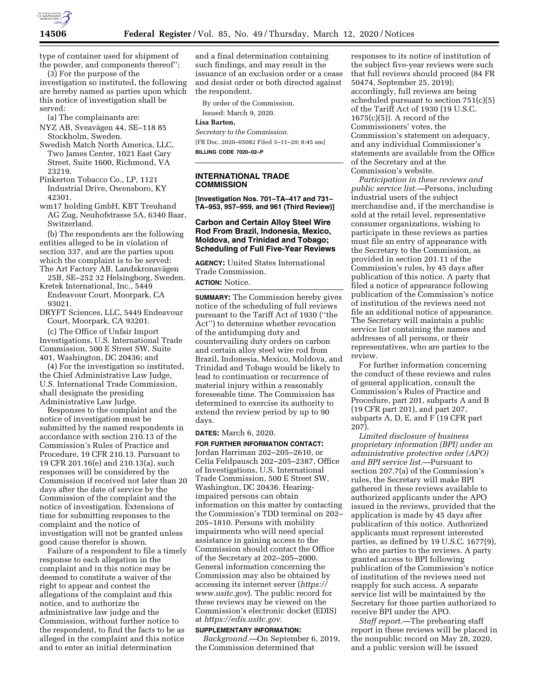

type of container used for shipment of the powder, and components thereof'';

(3) For the purpose of the investigation so instituted, the following are hereby named as parties upon which this notice of investigation shall be served:

(a) The complainants are:

- NYZ AB, Sveavägen 44, SE-118 85 Stockholm, Sweden.
- Swedish Match North America, LLC, Two James Center, 1021 East Cary Street, Suite 1600, Richmond, VA 23219.
- Pinkerton Tobacco Co., LP, 1121 Industrial Drive, Owensboro, KY 42301.
- wm17 holding GmbH, KBT Treuhand AG Zug, Neuhofstrasse 5A, 6340 Baar, Switzerland.

(b) The respondents are the following entities alleged to be in violation of section 337, and are the parties upon which the complaint is to be served: The Art Factory AB, Landskronavägen

25B, SE–252 32 Helsingborg, Sweden. Kretek International, Inc., 5449

- Endeavour Court, Moorpark, CA 93021.
- DRYFT Sciences, LLC, 5449 Endeavour Court, Moorpark, CA 93201.

(c) The Office of Unfair Import Investigations, U.S. International Trade Commission, 500 E Street SW, Suite 401, Washington, DC 20436; and

(4) For the investigation so instituted, the Chief Administrative Law Judge, U.S. International Trade Commission, shall designate the presiding Administrative Law Judge.

Responses to the complaint and the notice of investigation must be submitted by the named respondents in accordance with section 210.13 of the Commission's Rules of Practice and Procedure, 19 CFR 210.13. Pursuant to 19 CFR 201.16(e) and 210.13(a), such responses will be considered by the Commission if received not later than 20 days after the date of service by the Commission of the complaint and the notice of investigation. Extensions of time for submitting responses to the complaint and the notice of investigation will not be granted unless good cause therefor is shown.

Failure of a respondent to file a timely response to each allegation in the complaint and in this notice may be deemed to constitute a waiver of the right to appear and contest the allegations of the complaint and this notice, and to authorize the administrative law judge and the Commission, without further notice to the respondent, to find the facts to be as alleged in the complaint and this notice and to enter an initial determination

and a final determination containing such findings, and may result in the issuance of an exclusion order or a cease and desist order or both directed against the respondent.

By order of the Commission.

Issued: March 9, 2020.

# **Lisa Barton,**

*Secretary to the Commission.*  [FR Doc. 2020–05082 Filed 3–11–20; 8:45 am] **BILLING CODE 7020–02–P** 

### **INTERNATIONAL TRADE COMMISSION**

**[Investigation Nos. 701–TA–417 and 731– TA–953, 957–959, and 961 (Third Review)]** 

## **Carbon and Certain Alloy Steel Wire Rod From Brazil, Indonesia, Mexico, Moldova, and Trinidad and Tobago; Scheduling of Full Five-Year Reviews**

**AGENCY:** United States International Trade Commission.

**ACTION:** Notice.

**SUMMARY:** The Commission hereby gives notice of the scheduling of full reviews pursuant to the Tariff Act of 1930 (''the Act'') to determine whether revocation of the antidumping duty and countervailing duty orders on carbon and certain alloy steel wire rod from Brazil, Indonesia, Mexico, Moldova, and Trinidad and Tobago would be likely to lead to continuation or recurrence of material injury within a reasonably foreseeable time. The Commission has determined to exercise its authority to extend the review period by up to 90 days.

#### **DATES:** March 6, 2020.

**FOR FURTHER INFORMATION CONTACT:**  Jordan Harriman 202–205–2610, or Celia Feldpausch 202–205–2387, Office of Investigations, U.S. International Trade Commission, 500 E Street SW, Washington, DC 20436. Hearingimpaired persons can obtain information on this matter by contacting the Commission's TDD terminal on 202– 205–1810. Persons with mobility impairments who will need special assistance in gaining access to the Commission should contact the Office of the Secretary at 202–205–2000. General information concerning the Commission may also be obtained by accessing its internet server (*[https://](https://www.usitc.gov) [www.usitc.gov](https://www.usitc.gov)*). The public record for these reviews may be viewed on the Commission's electronic docket (EDIS) at *[https://edis.usitc.gov.](https://edis.usitc.gov)* 

### **SUPPLEMENTARY INFORMATION:**

*Background.*—On September 6, 2019, the Commission determined that

responses to its notice of institution of the subject five-year reviews were such that full reviews should proceed (84 FR 50474, September 25, 2019); accordingly, full reviews are being scheduled pursuant to section 751(c)(5) of the Tariff Act of 1930 (19 U.S.C. 1675(c)(5)). A record of the Commissioners' votes, the Commission's statement on adequacy, and any individual Commissioner's statements are available from the Office of the Secretary and at the Commission's website.

*Participation in these reviews and public service list.*—Persons, including industrial users of the subject merchandise and, if the merchandise is sold at the retail level, representative consumer organizations, wishing to participate in these reviews as parties must file an entry of appearance with the Secretary to the Commission, as provided in section 201.11 of the Commission's rules, by 45 days after publication of this notice. A party that filed a notice of appearance following publication of the Commission's notice of institution of the reviews need not file an additional notice of appearance. The Secretary will maintain a public service list containing the names and addresses of all persons, or their representatives, who are parties to the review.

For further information concerning the conduct of these reviews and rules of general application, consult the Commission's Rules of Practice and Procedure, part 201, subparts A and B (19 CFR part 201), and part 207, subparts A, D, E, and F (19 CFR part 207).

*Limited disclosure of business proprietary information (BPI) under an administrative protective order (APO) and BPI service list.*—Pursuant to section 207.7(a) of the Commission's rules, the Secretary will make BPI gathered in these reviews available to authorized applicants under the APO issued in the reviews, provided that the application is made by 45 days after publication of this notice. Authorized applicants must represent interested parties, as defined by 19 U.S.C. 1677(9), who are parties to the reviews. A party granted access to BPI following publication of the Commission's notice of institution of the reviews need not reapply for such access. A separate service list will be maintained by the Secretary for those parties authorized to receive BPI under the APO.

*Staff report.*—The prehearing staff report in these reviews will be placed in the nonpublic record on May 28, 2020, and a public version will be issued